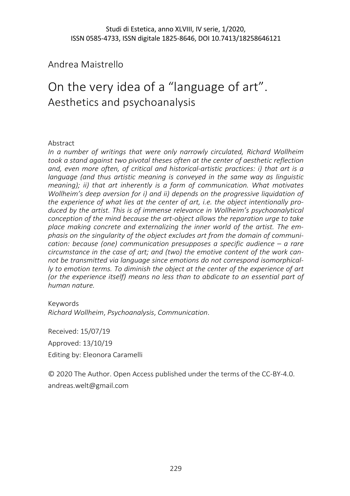Andrea Maistrello

# On the very idea of a "language of art". Aesthetics and psychoanalysis

## Abstract

*In a number of writings that were only narrowly circulated, Richard Wollheim took a stand against two pivotal theses often at the center of aesthetic reflection and, even more often, of critical and historical-artistic practices: i) that art is a language (and thus artistic meaning is conveyed in the same way as linguistic meaning); ii) that art inherently is a form of communication. What motivates Wollheim's deep aversion for i) and ii) depends on the progressive liquidation of the experience of what lies at the center of art, i.e. the object intentionally produced by the artist. This is of immense relevance in Wollheim's psychoanalytical conception of the mind because the art-object allows the reparation urge to take place making concrete and externalizing the inner world of the artist. The emphasis on the singularity of the object excludes art from the domain of communication: because (one) communication presupposes a specific audience – a rare circumstance in the case of art; and (two) the emotive content of the work cannot be transmitted via language since emotions do not correspond isomorphically to emotion terms. To diminish the object at the center of the experience of art (or the experience itself) means no less than to abdicate to an essential part of human nature.*

### Keywords

*Richard Wollheim*, *Psychoanalysis*, *Communication*.

Received: 15/07/19 Approved: 13/10/19 Editing by: Eleonora Caramelli

© 2020 The Author. Open Access published under the terms of the CC-BY-4.0. andreas.welt@gmail.com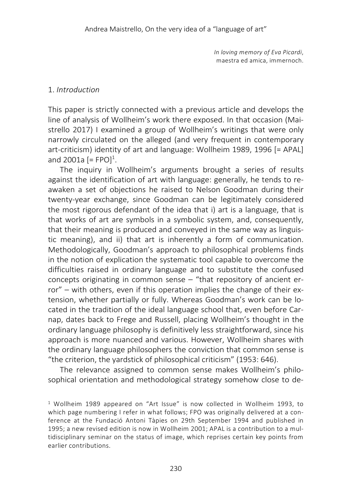*In loving memory of Eva Picardi*, maestra ed amica, immernoch.

## 1. *Introduction*

This paper is strictly connected with a previous article and develops the line of analysis of Wollheim's work there exposed. In that occasion (Maistrello 2017) I examined a group of Wollheim's writings that were only narrowly circulated on the alleged (and very frequent in contemporary art-criticism) identity of art and language: Wollheim 1989, 1996 [= APAL] and 2001a [= FPO]<sup>1</sup>.

The inquiry in Wollheim's arguments brought a series of results against the identification of art with language: generally, he tends to reawaken a set of objections he raised to Nelson Goodman during their twenty-year exchange, since Goodman can be legitimately considered the most rigorous defendant of the idea that i) art is a language, that is that works of art are symbols in a symbolic system, and, consequently, that their meaning is produced and conveyed in the same way as linguistic meaning), and ii) that art is inherently a form of communication. Methodologically, Goodman's approach to philosophical problems finds in the notion of explication the systematic tool capable to overcome the difficulties raised in ordinary language and to substitute the confused concepts originating in common sense – "that repository of ancient error" – with others, even if this operation implies the change of their extension, whether partially or fully. Whereas Goodman's work can be located in the tradition of the ideal language school that, even before Carnap, dates back to Frege and Russell, placing Wollheim's thought in the ordinary language philosophy is definitively less straightforward, since his approach is more nuanced and various. However, Wollheim shares with the ordinary language philosophers the conviction that common sense is "the criterion, the yardstick of philosophical criticism" (1953: 646).

The relevance assigned to common sense makes Wollheim's philosophical orientation and methodological strategy somehow close to de-

<sup>1</sup> Wollheim 1989 appeared on "Art Issue" is now collected in Wollheim 1993, to which page numbering I refer in what follows; FPO was originally delivered at a conference at the Fundació Antoni Tàpies on 29th September 1994 and published in 1995; a new revised edition is now in Wollheim 2001; APAL is a contribution to a multidisciplinary seminar on the status of image, which reprises certain key points from earlier contributions.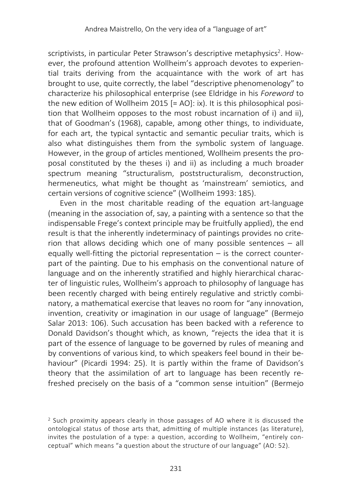scriptivists, in particular Peter Strawson's descriptive metaphysics<sup>2</sup>. However, the profound attention Wollheim's approach devotes to experiential traits deriving from the acquaintance with the work of art has brought to use, quite correctly, the label "descriptive phenomenology" to characterize his philosophical enterprise (see Eldridge in his *Foreword* to the new edition of Wollheim 2015 [= AO]: ix). It is this philosophical position that Wollheim opposes to the most robust incarnation of i) and ii), that of Goodman's (1968), capable, among other things, to individuate, for each art, the typical syntactic and semantic peculiar traits, which is also what distinguishes them from the symbolic system of language. However, in the group of articles mentioned, Wollheim presents the proposal constituted by the theses i) and ii) as including a much broader spectrum meaning "structuralism, poststructuralism, deconstruction, hermeneutics, what might be thought as 'mainstream' semiotics, and certain versions of cognitive science" (Wollheim 1993: 185).

Even in the most charitable reading of the equation art-language (meaning in the association of, say, a painting with a sentence so that the indispensable Frege's context principle may be fruitfully applied), the end result is that the inherently indeterminacy of paintings provides no criterion that allows deciding which one of many possible sentences – all equally well-fitting the pictorial representation – is the correct counterpart of the painting. Due to his emphasis on the conventional nature of language and on the inherently stratified and highly hierarchical character of linguistic rules, Wollheim's approach to philosophy of language has been recently charged with being entirely regulative and strictly combinatory, a mathematical exercise that leaves no room for "any innovation, invention, creativity or imagination in our usage of language" (Bermejo Salar 2013: 106). Such accusation has been backed with a reference to Donald Davidson's thought which, as known, "rejects the idea that it is part of the essence of language to be governed by rules of meaning and by conventions of various kind, to which speakers feel bound in their behaviour" (Picardi 1994: 25). It is partly within the frame of Davidson's theory that the assimilation of art to language has been recently refreshed precisely on the basis of a "common sense intuition" (Bermejo

<sup>2</sup> Such proximity appears clearly in those passages of AO where it is discussed the ontological status of those arts that, admitting of multiple instances (as literature), invites the postulation of a type: a question, according to Wollheim, "entirely conceptual" which means "a question about the structure of our language" (AO: 52).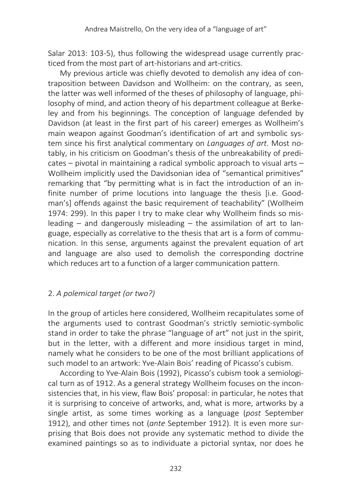Salar 2013: 103-5), thus following the widespread usage currently practiced from the most part of art-historians and art-critics.

My previous article was chiefly devoted to demolish any idea of contraposition between Davidson and Wollheim: on the contrary, as seen, the latter was well informed of the theses of philosophy of language, philosophy of mind, and action theory of his department colleague at Berkeley and from his beginnings. The conception of language defended by Davidson (at least in the first part of his career) emerges as Wollheim's main weapon against Goodman's identification of art and symbolic system since his first analytical commentary on *Languages of art*. Most notably, in his criticism on Goodman's thesis of the unbreakability of predicates – pivotal in maintaining a radical symbolic approach to visual arts – Wollheim implicitly used the Davidsonian idea of "semantical primitives" remarking that "by permitting what is in fact the introduction of an infinite number of prime locutions into language the thesis [i.e. Goodman's] offends against the basic requirement of teachability" (Wollheim 1974: 299). In this paper I try to make clear why Wollheim finds so misleading  $-$  and dangerously misleading  $-$  the assimilation of art to language, especially as correlative to the thesis that art is a form of communication. In this sense, arguments against the prevalent equation of art and language are also used to demolish the corresponding doctrine which reduces art to a function of a larger communication pattern.

# 2. *A polemical target (or two?)*

In the group of articles here considered, Wollheim recapitulates some of the arguments used to contrast Goodman's strictly semiotic-symbolic stand in order to take the phrase "language of art" not just in the spirit, but in the letter, with a different and more insidious target in mind, namely what he considers to be one of the most brilliant applications of such model to an artwork: Yve-Alain Bois' reading of Picasso's cubism.

According to Yve-Alain Bois (1992), Picasso's cubism took a semiological turn as of 1912. As a general strategy Wollheim focuses on the inconsistencies that, in his view, flaw Bois' proposal: in particular, he notes that it is surprising to conceive of artworks, and, what is more, artworks by a single artist, as some times working as a language (*post* September 1912), and other times not (*ante* September 1912). It is even more surprising that Bois does not provide any systematic method to divide the examined paintings so as to individuate a pictorial syntax, nor does he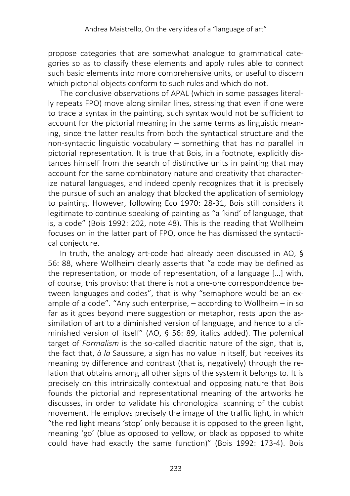propose categories that are somewhat analogue to grammatical categories so as to classify these elements and apply rules able to connect such basic elements into more comprehensive units, or useful to discern which pictorial objects conform to such rules and which do not.

The conclusive observations of APAL (which in some passages literally repeats FPO) move along similar lines, stressing that even if one were to trace a syntax in the painting, such syntax would not be sufficient to account for the pictorial meaning in the same terms as linguistic meaning, since the latter results from both the syntactical structure and the non-syntactic linguistic vocabulary – something that has no parallel in pictorial representation. It is true that Bois, in a footnote, explicitly distances himself from the search of distinctive units in painting that may account for the same combinatory nature and creativity that characterize natural languages, and indeed openly recognizes that it is precisely the pursue of such an analogy that blocked the application of semiology to painting. However, following Eco 1970: 28-31, Bois still considers it legitimate to continue speaking of painting as "a 'kind' of language, that is, a code" (Bois 1992: 202, note 48). This is the reading that Wollheim focuses on in the latter part of FPO, once he has dismissed the syntactical conjecture.

In truth, the analogy art-code had already been discussed in AO, § 56: 88, where Wollheim clearly asserts that "a code may be defined as the representation, or mode of representation, of a language […] with, of course, this proviso: that there is not a one-one corresponddence between languages and codes", that is why "semaphore would be an example of a code". "Any such enterprise,  $-$  according to Wollheim  $-$  in so far as it goes beyond mere suggestion or metaphor, rests upon the assimilation of art to a diminished version of language, and hence to a diminished version of itself" (AO, § 56: 89, italics added). The polemical target of *Formalism* is the so-called diacritic nature of the sign, that is, the fact that, *à la* Saussure, a sign has no value in itself, but receives its meaning by difference and contrast (that is, negatively) through the relation that obtains among all other signs of the system it belongs to. It is precisely on this intrinsically contextual and opposing nature that Bois founds the pictorial and representational meaning of the artworks he discusses, in order to validate his chronological scanning of the cubist movement. He employs precisely the image of the traffic light, in which "the red light means 'stop' only because it is opposed to the green light, meaning 'go' (blue as opposed to yellow, or black as opposed to white could have had exactly the same function)" (Bois 1992: 173-4). Bois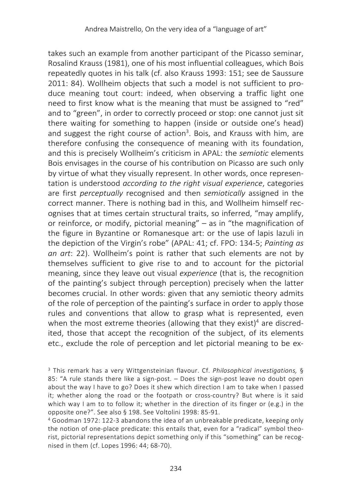takes such an example from another participant of the Picasso seminar, Rosalind Krauss (1981), one of his most influential colleagues, which Bois repeatedly quotes in his talk (cf. also Krauss 1993: 151; see de Saussure 2011: 84). Wollheim objects that such a model is not sufficient to produce meaning tout court: indeed, when observing a traffic light one need to first know what is the meaning that must be assigned to "red" and to "green", in order to correctly proceed or stop: one cannot just sit there waiting for something to happen (inside or outside one's head) and suggest the right course of action<sup>3</sup>. Bois, and Krauss with him, are therefore confusing the consequence of meaning with its foundation, and this is precisely Wollheim's criticism in APAL: the *semiotic* elements Bois envisages in the course of his contribution on Picasso are such only by virtue of what they visually represent. In other words, once representation is understood *according to the right visual experience*, categories are first *perceptually* recognised and then *semiotically* assigned in the correct manner. There is nothing bad in this, and Wollheim himself recognises that at times certain structural traits, so inferred, "may amplify, or reinforce, or modify, pictorial meaning" – as in "the magnification of the figure in Byzantine or Romanesque art: or the use of lapis lazuli in the depiction of the Virgin's robe" (APAL: 41; cf. FPO: 134-5; *Painting as an art*: 22). Wollheim's point is rather that such elements are not by themselves sufficient to give rise to and to account for the pictorial meaning, since they leave out visual *experience* (that is, the recognition of the painting's subject through perception) precisely when the latter becomes crucial. In other words: given that any semiotic theory admits of the role of perception of the painting's surface in order to apply those rules and conventions that allow to grasp what is represented, even when the most extreme theories (allowing that they exist)<sup>4</sup> are discredited, those that accept the recognition of the subject, of its elements etc., exclude the role of perception and let pictorial meaning to be ex-

<sup>3</sup> This remark has a very Wittgensteinian flavour. Cf. *Philosophical investigations,* § 85: "A rule stands there like a sign-post. – Does the sign-post leave no doubt open about the way I have to go? Does it shew which direction I am to take when I passed it; whether along the road or the footpath or cross-country? But where is it said which way I am to to follow it; whether in the direction of its finger or (e.g.) in the opposite one?". See also § 198. See Voltolini 1998: 85-91.

<sup>4</sup> Goodman 1972: 122-3 abandons the idea of an unbreakable predicate, keeping only the notion of one-place predicate: this entails that, even for a "radical" symbol theorist, pictorial representations depict something only if this "something" can be recognised in them (cf. Lopes 1996: 44; 68-70).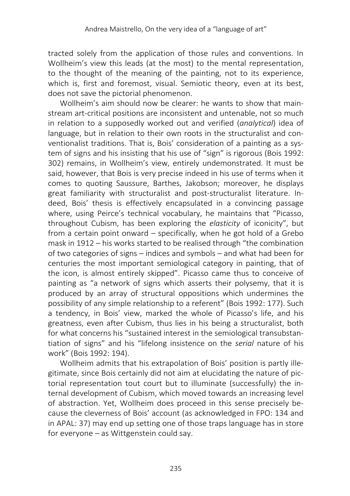tracted solely from the application of those rules and conventions. In Wollheim's view this leads (at the most) to the mental representation, to the thought of the meaning of the painting, not to its experience, which is, first and foremost, visual. Semiotic theory, even at its best, does not save the pictorial phenomenon.

Wollheim's aim should now be clearer: he wants to show that mainstream art-critical positions are inconsistent and untenable, not so much in relation to a supposedly worked out and verified (*analytical*) idea of language, but in relation to their own roots in the structuralist and conventionalist traditions. That is, Bois' consideration of a painting as a system of signs and his insisting that his use of "sign" is rigorous (Bois 1992: 302) remains, in Wollheim's view, entirely undemonstrated. It must be said, however, that Bois is very precise indeed in his use of terms when it comes to quoting Saussure, Barthes, Jakobson; moreover, he displays great familiarity with structuralist and post-structuralist literature. Indeed, Bois' thesis is effectively encapsulated in a convincing passage where, using Peirce's technical vocabulary, he maintains that "Picasso, throughout Cubism, has been exploring the *elasticity* of iconicity", but from a certain point onward – specifically, when he got hold of a Grebo mask in 1912 – his works started to be realised through "the combination of two categories of signs – indices and symbols – and what had been for centuries the most important semiological category in painting, that of the icon, is almost entirely skipped". Picasso came thus to conceive of painting as "a network of signs which asserts their polysemy, that it is produced by an array of structural oppositions which undermines the possibility of any simple relationship to a referent" (Bois 1992: 177). Such a tendency, in Bois' view, marked the whole of Picasso's life, and his greatness, even after Cubism, thus lies in his being a structuralist, both for what concerns his "sustained interest in the semiological transubstantiation of signs" and his "lifelong insistence on the *serial* nature of his work" (Bois 1992: 194).

Wollheim admits that his extrapolation of Bois' position is partly illegitimate, since Bois certainly did not aim at elucidating the nature of pictorial representation tout court but to illuminate (successfully) the internal development of Cubism, which moved towards an increasing level of abstraction. Yet, Wollheim does proceed in this sense precisely because the cleverness of Bois' account (as acknowledged in FPO: 134 and in APAL: 37) may end up setting one of those traps language has in store for everyone – as Wittgenstein could say.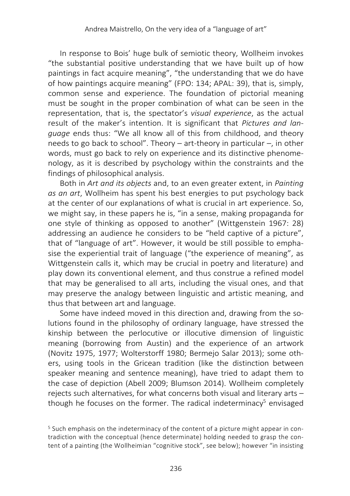In response to Bois' huge bulk of semiotic theory, Wollheim invokes "the substantial positive understanding that we have built up of how paintings in fact acquire meaning", "the understanding that we do have of how paintings acquire meaning" (FPO: 134; APAL: 39), that is, simply, common sense and experience. The foundation of pictorial meaning must be sought in the proper combination of what can be seen in the representation, that is, the spectator's *visual experience*, as the actual result of the maker's intention. It is significant that *Pictures and language* ends thus: "We all know all of this from childhood, and theory needs to go back to school". Theory – art-theory in particular –, in other words, must go back to rely on experience and its distinctive phenomenology, as it is described by psychology within the constraints and the findings of philosophical analysis.

Both in *Art and its objects* and, to an even greater extent, in *Painting as an art*, Wollheim has spent his best energies to put psychology back at the center of our explanations of what is crucial in art experience. So, we might say, in these papers he is, "in a sense, making propaganda for one style of thinking as opposed to another" (Wittgenstein 1967: 28) addressing an audience he considers to be "held captive of a picture", that of "language of art". However, it would be still possible to emphasise the experiential trait of language ("the experience of meaning", as Wittgenstein calls it, which may be crucial in poetry and literature) and play down its conventional element, and thus construe a refined model that may be generalised to all arts, including the visual ones, and that may preserve the analogy between linguistic and artistic meaning, and thus that between art and language.

Some have indeed moved in this direction and, drawing from the solutions found in the philosophy of ordinary language, have stressed the kinship between the perlocutive or illocutive dimension of linguistic meaning (borrowing from Austin) and the experience of an artwork (Novitz 1975, 1977; Wolterstorff 1980; Bermejo Salar 2013); some others, using tools in the Gricean tradition (like the distinction between speaker meaning and sentence meaning), have tried to adapt them to the case of depiction (Abell 2009; Blumson 2014). Wollheim completely rejects such alternatives, for what concerns both visual and literary arts – though he focuses on the former. The radical indeterminacy<sup>5</sup> envisaged

<sup>5</sup> Such emphasis on the indeterminacy of the content of a picture might appear in contradiction with the conceptual (hence determinate) holding needed to grasp the content of a painting (the Wollheimian "cognitive stock", see below); however "in insisting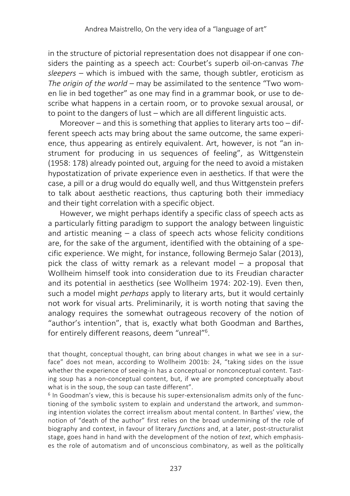in the structure of pictorial representation does not disappear if one considers the painting as a speech act: Courbet's superb oil-on-canvas *The sleepers* – which is imbued with the same, though subtler, eroticism as *The origin of the world* – may be assimilated to the sentence "Two women lie in bed together" as one may find in a grammar book, or use to describe what happens in a certain room, or to provoke sexual arousal, or to point to the dangers of lust – which are all different linguistic acts.

Moreover – and this is something that applies to literary arts too – different speech acts may bring about the same outcome, the same experience, thus appearing as entirely equivalent. Art, however, is not "an instrument for producing in us sequences of feeling", as Wittgenstein (1958: 178) already pointed out, arguing for the need to avoid a mistaken hypostatization of private experience even in aesthetics. If that were the case, a pill or a drug would do equally well, and thus Wittgenstein prefers to talk about aesthetic reactions, thus capturing both their immediacy and their tight correlation with a specific object.

However, we might perhaps identify a specific class of speech acts as a particularly fitting paradigm to support the analogy between linguistic and artistic meaning – a class of speech acts whose felicity conditions are, for the sake of the argument, identified with the obtaining of a specific experience. We might, for instance, following Bermejo Salar (2013), pick the class of witty remark as a relevant model – a proposal that Wollheim himself took into consideration due to its Freudian character and its potential in aesthetics (see Wollheim 1974: 202-19). Even then, such a model might *perhaps* apply to literary arts, but it would certainly not work for visual arts. Preliminarily, it is worth noting that saving the analogy requires the somewhat outrageous recovery of the notion of "author's intention", that is, exactly what both Goodman and Barthes, for entirely different reasons, deem "unreal"<sup>6</sup>.

that thought, conceptual thought, can bring about changes in what we see in a surface" does not mean, according to Wollheim 2001b: 24, "taking sides on the issue whether the experience of seeing-in has a conceptual or nonconceptual content. Tasting soup has a non-conceptual content, but, if we are prompted conceptually about what is in the soup, the soup can taste different".

 $6$  In Goodman's view, this is because his super-extensionalism admits only of the functioning of the symbolic system to explain and understand the artwork, and summoning intention violates the correct irrealism about mental content. In Barthes' view, the notion of "death of the author" first relies on the broad undermining of the role of biography and context, in favour of literary *functions* and, at a later, post-structuralist stage, goes hand in hand with the development of the notion of *text*, which emphasises the role of automatism and of unconscious combinatory, as well as the politically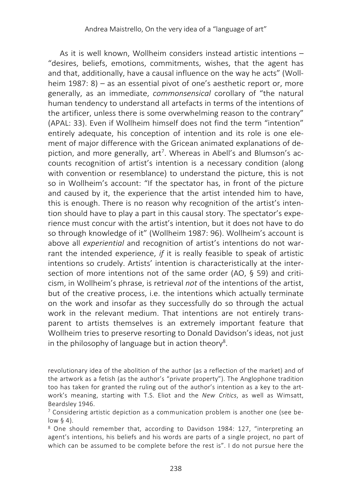As it is well known, Wollheim considers instead artistic intentions – "desires, beliefs, emotions, commitments, wishes, that the agent has and that, additionally, have a causal influence on the way he acts" (Wollheim 1987: 8) – as an essential pivot of one's aesthetic report or, more generally, as an immediate, *commonsensical* corollary of "the natural human tendency to understand all artefacts in terms of the intentions of the artificer, unless there is some overwhelming reason to the contrary" (APAL: 33). Even if Wollheim himself does not find the term "intention" entirely adequate, his conception of intention and its role is one element of major difference with the Gricean animated explanations of depiction, and more generally, art<sup>7</sup>. Whereas in Abell's and Blumson's accounts recognition of artist's intention is a necessary condition (along with convention or resemblance) to understand the picture, this is not so in Wollheim's account: "If the spectator has, in front of the picture and caused by it, the experience that the artist intended him to have, this is enough. There is no reason why recognition of the artist's intention should have to play a part in this causal story. The spectator's experience must concur with the artist's intention, but it does not have to do so through knowledge of it" (Wollheim 1987: 96). Wollheim's account is above all *experiential* and recognition of artist's intentions do not warrant the intended experience, *if* it is really feasible to speak of artistic intentions so crudely. Artists' intention is characteristically at the intersection of more intentions not of the same order (AO, § 59) and criticism, in Wollheim's phrase, is retrieval *not* of the intentions of the artist, but of the creative process, i.e. the intentions which actually terminate on the work and insofar as they successfully do so through the actual work in the relevant medium. That intentions are not entirely transparent to artists themselves is an extremely important feature that Wollheim tries to preserve resorting to Donald Davidson's ideas, not just in the philosophy of language but in action theory<sup>8</sup>.

revolutionary idea of the abolition of the author (as a reflection of the market) and of the artwork as a fetish (as the author's "private property"). The Anglophone tradition too has taken for granted the ruling out of the author's intention as a key to the artwork's meaning, starting with T.S. Eliot and the *New Critics*, as well as Wimsatt, Beardsley 1946.

 $7$  Considering artistic depiction as a communication problem is another one (see below  $§$  4).

<sup>8</sup> One should remember that, according to Davidson 1984: 127, "interpreting an agent's intentions, his beliefs and his words are parts of a single project, no part of which can be assumed to be complete before the rest is". I do not pursue here the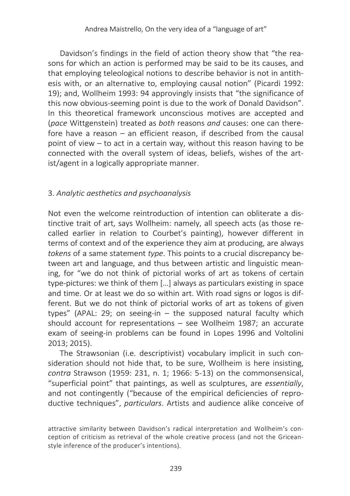Davidson's findings in the field of action theory show that "the reasons for which an action is performed may be said to be its causes, and that employing teleological notions to describe behavior is not in antithesis with, or an alternative to, employing causal notion" (Picardi 1992: 19); and, Wollheim 1993: 94 approvingly insists that "the significance of this now obvious-seeming point is due to the work of Donald Davidson". In this theoretical framework unconscious motives are accepted and (*pace* Wittgenstein) treated as *both* reasons *and* causes: one can therefore have a reason – an efficient reason, if described from the causal point of view – to act in a certain way, without this reason having to be connected with the overall system of ideas, beliefs, wishes of the artist/agent in a logically appropriate manner.

## 3. *Analytic aesthetics and psychoanalysis*

Not even the welcome reintroduction of intention can obliterate a distinctive trait of art, says Wollheim: namely, all speech acts (as those recalled earlier in relation to Courbet's painting), however different in terms of context and of the experience they aim at producing, are always *tokens* of a same statement *type*. This points to a crucial discrepancy between art and language, and thus between artistic and linguistic meaning, for "we do not think of pictorial works of art as tokens of certain type-pictures: we think of them […] always as particulars existing in space and time. Or at least we do so within art. With road signs or logos is different. But we do not think of pictorial works of art as tokens of given types" (APAL: 29; on seeing-in – the supposed natural faculty which should account for representations – see Wollheim 1987; an accurate exam of seeing-in problems can be found in Lopes 1996 and Voltolini 2013; 2015).

The Strawsonian (i.e. descriptivist) vocabulary implicit in such consideration should not hide that, to be sure, Wollheim is here insisting, *contra* Strawson (1959: 231, n. 1; 1966: 5-13) on the commonsensical, "superficial point" that paintings, as well as sculptures, are *essentially*, and not contingently ("because of the empirical deficiencies of reproductive techniques", *particulars*. Artists and audience alike conceive of

attractive similarity between Davidson's radical interpretation and Wollheim's conception of criticism as retrieval of the whole creative process (and not the Griceanstyle inference of the producer's intentions).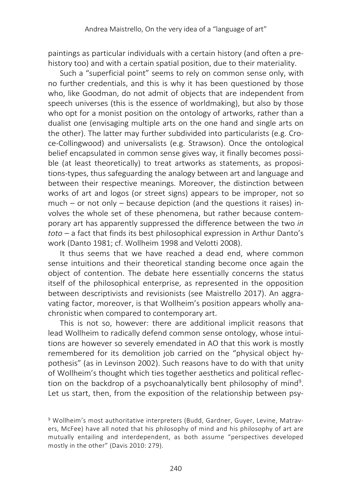paintings as particular individuals with a certain history (and often a prehistory too) and with a certain spatial position, due to their materiality.

Such a "superficial point" seems to rely on common sense only, with no further credentials, and this is why it has been questioned by those who, like Goodman, do not admit of objects that are independent from speech universes (this is the essence of worldmaking), but also by those who opt for a monist position on the ontology of artworks, rather than a dualist one (envisaging multiple arts on the one hand and single arts on the other). The latter may further subdivided into particularists (e.g. Croce-Collingwood) and universalists (e.g. Strawson). Once the ontological belief encapsulated in common sense gives way, it finally becomes possible (at least theoretically) to treat artworks as statements, as propositions-types, thus safeguarding the analogy between art and language and between their respective meanings. Moreover, the distinction between works of art and logos (or street signs) appears to be improper, not so much – or not only – because depiction (and the questions it raises) involves the whole set of these phenomena, but rather because contemporary art has apparently suppressed the difference between the two *in toto* – a fact that finds its best philosophical expression in Arthur Danto's work (Danto 1981; cf. Wollheim 1998 and Velotti 2008).

It thus seems that we have reached a dead end, where common sense intuitions and their theoretical standing become once again the object of contention. The debate here essentially concerns the status itself of the philosophical enterprise, as represented in the opposition between descriptivists and revisionists (see Maistrello 2017). An aggravating factor, moreover, is that Wollheim's position appears wholly anachronistic when compared to contemporary art.

This is not so, however: there are additional implicit reasons that lead Wollheim to radically defend common sense ontology, whose intuitions are however so severely emendated in AO that this work is mostly remembered for its demolition job carried on the "physical object hypothesis" (as in Levinson 2002). Such reasons have to do with that unity of Wollheim's thought which ties together aesthetics and political reflection on the backdrop of a psychoanalytically bent philosophy of mind<sup>9</sup>. Let us start, then, from the exposition of the relationship between psy-

<sup>9</sup> Wollheim's most authoritative interpreters (Budd, Gardner, Guyer, Levine, Matravers, McFee) have all noted that his philosophy of mind and his philosophy of art are mutually entailing and interdependent, as both assume "perspectives developed mostly in the other" (Davis 2010: 279).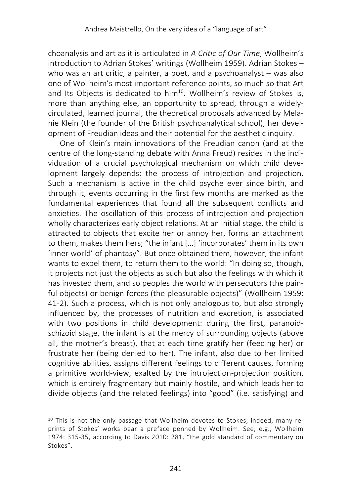choanalysis and art as it is articulated in *A Critic of Our Time*, Wollheim's introduction to Adrian Stokes' writings (Wollheim 1959). Adrian Stokes – who was an art critic, a painter, a poet, and a psychoanalyst – was also one of Wollheim's most important reference points, so much so that Art and Its Objects is dedicated to him<sup>10</sup>. Wollheim's review of Stokes is, more than anything else, an opportunity to spread, through a widelycirculated, learned journal, the theoretical proposals advanced by Melanie Klein (the founder of the British psychoanalytical school), her development of Freudian ideas and their potential for the aesthetic inquiry.

One of Klein's main innovations of the Freudian canon (and at the centre of the long-standing debate with Anna Freud) resides in the individuation of a crucial psychological mechanism on which child development largely depends: the process of introjection and projection. Such a mechanism is active in the child psyche ever since birth, and through it, events occurring in the first few months are marked as the fundamental experiences that found all the subsequent conflicts and anxieties. The oscillation of this process of introjection and projection wholly characterizes early object relations. At an initial stage, the child is attracted to objects that excite her or annoy her, forms an attachment to them, makes them hers; "the infant […] 'incorporates' them in its own 'inner world' of phantasy". But once obtained them, however, the infant wants to expel them, to return them to the world: "In doing so, though, it projects not just the objects as such but also the feelings with which it has invested them, and so peoples the world with persecutors (the painful objects) or benign forces (the pleasurable objects)" (Wollheim 1959: 41-2). Such a process, which is not only analogous to, but also strongly influenced by, the processes of nutrition and excretion, is associated with two positions in child development: during the first, paranoidschizoid stage, the infant is at the mercy of surrounding objects (above all, the mother's breast), that at each time gratify her (feeding her) or frustrate her (being denied to her). The infant, also due to her limited cognitive abilities, assigns different feelings to different causes, forming a primitive world-view, exalted by the introjection-projection position, which is entirely fragmentary but mainly hostile, and which leads her to divide objects (and the related feelings) into "good" (i.e. satisfying) and

<sup>&</sup>lt;sup>10</sup> This is not the only passage that Wollheim devotes to Stokes; indeed, many reprints of Stokes' works bear a preface penned by Wollheim. See, e.g., Wollheim 1974: 315-35, according to Davis 2010: 281, "the gold standard of commentary on Stokes".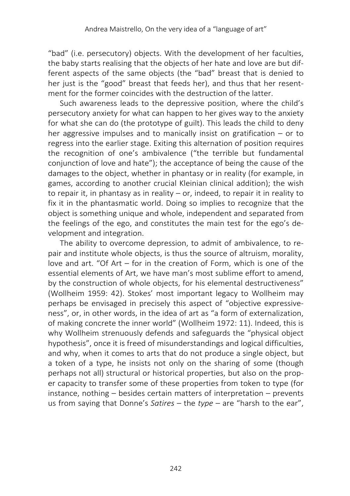"bad" (i.e. persecutory) objects. With the development of her faculties, the baby starts realising that the objects of her hate and love are but different aspects of the same objects (the "bad" breast that is denied to her just is the "good" breast that feeds her), and thus that her resentment for the former coincides with the destruction of the latter.

Such awareness leads to the depressive position, where the child's persecutory anxiety for what can happen to her gives way to the anxiety for what she can do (the prototype of guilt). This leads the child to deny her aggressive impulses and to manically insist on gratification – or to regress into the earlier stage. Exiting this alternation of position requires the recognition of one's ambivalence ("the terrible but fundamental conjunction of love and hate"); the acceptance of being the cause of the damages to the object, whether in phantasy or in reality (for example, in games, according to another crucial Kleinian clinical addition); the wish to repair it, in phantasy as in reality – or, indeed, to repair it in reality to fix it in the phantasmatic world. Doing so implies to recognize that the object is something unique and whole, independent and separated from the feelings of the ego, and constitutes the main test for the ego's development and integration.

The ability to overcome depression, to admit of ambivalence, to repair and institute whole objects, is thus the source of altruism, morality, love and art. "Of Art – for in the creation of Form, which is one of the essential elements of Art, we have man's most sublime effort to amend, by the construction of whole objects, for his elemental destructiveness" (Wollheim 1959: 42). Stokes' most important legacy to Wollheim may perhaps be envisaged in precisely this aspect of "objective expressiveness", or, in other words, in the idea of art as "a form of externalization, of making concrete the inner world" (Wollheim 1972: 11). Indeed, this is why Wollheim strenuously defends and safeguards the "physical object hypothesis", once it is freed of misunderstandings and logical difficulties, and why, when it comes to arts that do not produce a single object, but a token of a type, he insists not only on the sharing of some (though perhaps not all) structural or historical properties, but also on the proper capacity to transfer some of these properties from token to type (for instance, nothing – besides certain matters of interpretation – prevents us from saying that Donne's *Satires* – the *type* – are "harsh to the ear",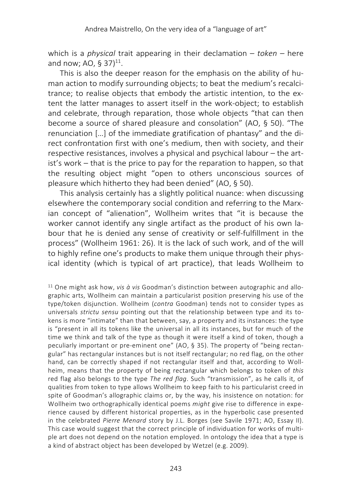which is a *physical* trait appearing in their declamation – *token* – here and now; AO, § 37) $^{11}$ .

This is also the deeper reason for the emphasis on the ability of human action to modify surrounding objects; to beat the medium's recalcitrance; to realise objects that embody the artistic intention, to the extent the latter manages to assert itself in the work-object; to establish and celebrate, through reparation, those whole objects "that can then become a source of shared pleasure and consolation" (AO, § 50). "The renunciation […] of the immediate gratification of phantasy" and the direct confrontation first with one's medium, then with society, and their respective resistances, involves a physical and psychical labour – the artist's work – that is the price to pay for the reparation to happen, so that the resulting object might "open to others unconscious sources of pleasure which hitherto they had been denied" (AO, § 50).

This analysis certainly has a slightly political nuance: when discussing elsewhere the contemporary social condition and referring to the Marxian concept of "alienation", Wollheim writes that "it is because the worker cannot identify any single artifact as the product of his own labour that he is denied any sense of creativity or self-fulfillment in the process" (Wollheim 1961: 26). It is the lack of such work, and of the will to highly refine one's products to make them unique through their physical identity (which is typical of art practice), that leads Wollheim to

<sup>11</sup> One might ask how, *vis à vis* Goodman's distinction between autographic and allographic arts, Wollheim can maintain a particularist position preserving his use of the type/token disjunction. Wollheim (*contra* Goodman) tends not to consider types as universals *strictu sensu* pointing out that the relationship between type and its tokens is more "intimate" than that between, say, a property and its instances: the type is "present in all its tokens like the universal in all its instances, but for much of the time we think and talk of the type as though it were itself a kind of token, though a peculiarly important or pre-eminent one" (AO, § 35). The property of "being rectangular" has rectangular instances but is not itself rectangular; no red flag, on the other hand, can be correctly shaped if not rectangular itself and that, according to Wollheim, means that the property of being rectangular which belongs to token of *this* red flag also belongs to the type *The red flag*. Such "transmission", as he calls it, of qualities from token to type allows Wollheim to keep faith to his particularist creed in spite of Goodman's allographic claims or, by the way, his insistence on notation: for Wollheim two orthographically identical poems *might* give rise to difference in experience caused by different historical properties, as in the hyperbolic case presented in the celebrated *Pierre Menard* story by J.L. Borges (see Savile 1971; AO, Essay II). This case would suggest that the correct principle of individuation for works of multiple art does not depend on the notation employed. In ontology the idea that a type is a kind of abstract object has been developed by Wetzel (e.g. 2009).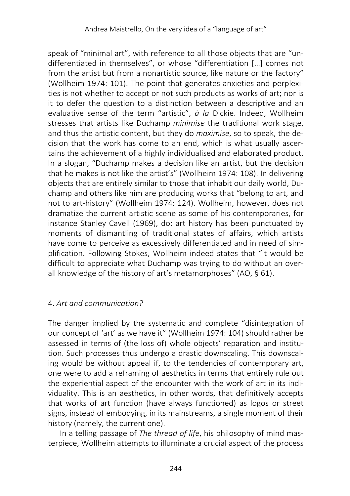speak of "minimal art", with reference to all those objects that are "undifferentiated in themselves", or whose "differentiation […] comes not from the artist but from a nonartistic source, like nature or the factory" (Wollheim 1974: 101). The point that generates anxieties and perplexities is not whether to accept or not such products as works of art; nor is it to defer the question to a distinction between a descriptive and an evaluative sense of the term "artistic", *à la* Dickie. Indeed, Wollheim stresses that artists like Duchamp *minimise* the traditional work stage, and thus the artistic content, but they do *maximise*, so to speak, the decision that the work has come to an end, which is what usually ascertains the achievement of a highly individualised and elaborated product. In a slogan, "Duchamp makes a decision like an artist, but the decision that he makes is not like the artist's" (Wollheim 1974: 108). In delivering objects that are entirely similar to those that inhabit our daily world, Duchamp and others like him are producing works that "belong to art, and not to art-history" (Wollheim 1974: 124). Wollheim, however, does not dramatize the current artistic scene as some of his contemporaries, for instance Stanley Cavell (1969), do: art history has been punctuated by moments of dismantling of traditional states of affairs, which artists have come to perceive as excessively differentiated and in need of simplification. Following Stokes, Wollheim indeed states that "it would be difficult to appreciate what Duchamp was trying to do without an overall knowledge of the history of art's metamorphoses" (AO, § 61).

## 4. *Art and communication?*

The danger implied by the systematic and complete "disintegration of our concept of 'art' as we have it" (Wollheim 1974: 104) should rather be assessed in terms of (the loss of) whole objects' reparation and institution. Such processes thus undergo a drastic downscaling. This downscaling would be without appeal if, to the tendencies of contemporary art, one were to add a reframing of aesthetics in terms that entirely rule out the experiential aspect of the encounter with the work of art in its individuality. This is an aesthetics, in other words, that definitively accepts that works of art function (have always functioned) as logos or street signs, instead of embodying, in its mainstreams, a single moment of their history (namely, the current one).

In a telling passage of *The thread of life*, his philosophy of mind masterpiece, Wollheim attempts to illuminate a crucial aspect of the process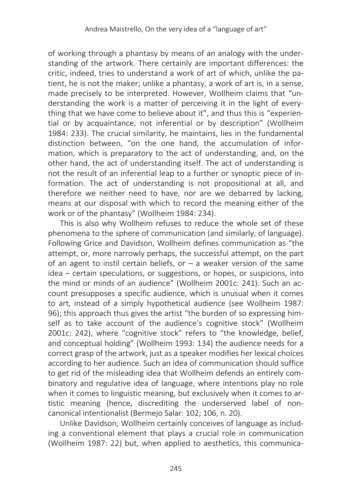of working through a phantasy by means of an analogy with the understanding of the artwork. There certainly are important differences: the critic, indeed, tries to understand a work of art of which, unlike the patient, he is not the maker; unlike a phantasy, a work of art is, in a sense, made precisely to be interpreted. However, Wollheim claims that "understanding the work is a matter of perceiving it in the light of everything that we have come to believe about it", and thus this is "experiential or by acquaintance, not inferential or by description" (Wollheim 1984: 233). The crucial similarity, he maintains, lies in the fundamental distinction between, "on the one hand, the accumulation of information, which is preparatory to the act of understanding, and, on the other hand, the act of understanding itself. The act of understanding is not the result of an inferential leap to a further or synoptic piece of information. The act of understanding is not propositional at all, and therefore we neither need to have, nor are we debarred by lacking, means at our disposal with which to record the meaning either of the work or of the phantasy" (Wollheim 1984: 234).

This is also why Wollheim refuses to reduce the whole set of these phenomena to the sphere of communication (and similarly, of language). Following Grice and Davidson, Wollheim defines communication as "the attempt, or, more narrowly perhaps, the successful attempt, on the part of an agent to instil certain beliefs, or  $-$  a weaker version of the same idea – certain speculations, or suggestions, or hopes, or suspicions, into the mind or minds of an audience" (Wollheim 2001c: 241). Such an account presupposes a specific audience, which is unusual when it comes to art, instead of a simply hypothetical audience (see Wollheim 1987: 96); this approach thus gives the artist "the burden of so expressing himself as to take account of the audience's cognitive stock" (Wollheim 2001c: 242), where "cognitive stock" refers to "the knowledge, belief, and conceptual holding" (Wollheim 1993: 134) the audience needs for a correct grasp of the artwork, just as a speaker modifies her lexical choices according to her audience. Such an idea of communication should suffice to get rid of the misleading idea that Wollheim defends an entirely combinatory and regulative idea of language, where intentions play no role when it comes to linguistic meaning, but exclusively when it comes to artistic meaning (hence, discrediting the underserved label of noncanonical intentionalist (Bermejo Salar: 102; 106, n. 20).

Unlike Davidson, Wollheim certainly conceives of language as including a conventional element that plays a crucial role in communication (Wollheim 1987: 22) but, when applied to aesthetics, this communica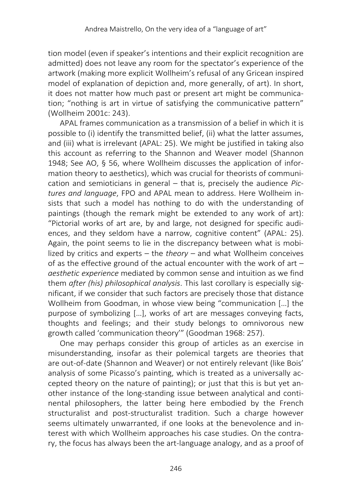tion model (even if speaker's intentions and their explicit recognition are admitted) does not leave any room for the spectator's experience of the artwork (making more explicit Wollheim's refusal of any Gricean inspired model of explanation of depiction and, more generally, of art). In short, it does not matter how much past or present art might be communication; "nothing is art in virtue of satisfying the communicative pattern" (Wollheim 2001c: 243).

APAL frames communication as a transmission of a belief in which it is possible to (i) identify the transmitted belief, (ii) what the latter assumes, and (iii) what is irrelevant (APAL: 25). We might be justified in taking also this account as referring to the Shannon and Weaver model (Shannon 1948; See AO, § 56, where Wollheim discusses the application of information theory to aesthetics), which was crucial for theorists of communication and semioticians in general – that is, precisely the audience *Pictures and language*, FPO and APAL mean to address. Here Wollheim insists that such a model has nothing to do with the understanding of paintings (though the remark might be extended to any work of art): "Pictorial works of art are, by and large, not designed for specific audiences, and they seldom have a narrow, cognitive content" (APAL: 25). Again, the point seems to lie in the discrepancy between what is mobilized by critics and experts – the *theory* – and what Wollheim conceives of as the effective ground of the actual encounter with the work of art – *aesthetic experience* mediated by common sense and intuition as we find them *after (his) philosophical analysis*. This last corollary is especially significant, if we consider that such factors are precisely those that distance Wollheim from Goodman, in whose view being "communication […] the purpose of symbolizing […], works of art are messages conveying facts, thoughts and feelings; and their study belongs to omnivorous new growth called 'communication theory'" (Goodman 1968: 257).

One may perhaps consider this group of articles as an exercise in misunderstanding, insofar as their polemical targets are theories that are out-of-date (Shannon and Weaver) or not entirely relevant (like Bois' analysis of some Picasso's painting, which is treated as a universally accepted theory on the nature of painting); or just that this is but yet another instance of the long-standing issue between analytical and continental philosophers, the latter being here embodied by the French structuralist and post-structuralist tradition. Such a charge however seems ultimately unwarranted, if one looks at the benevolence and interest with which Wollheim approaches his case studies. On the contrary, the focus has always been the art-language analogy, and as a proof of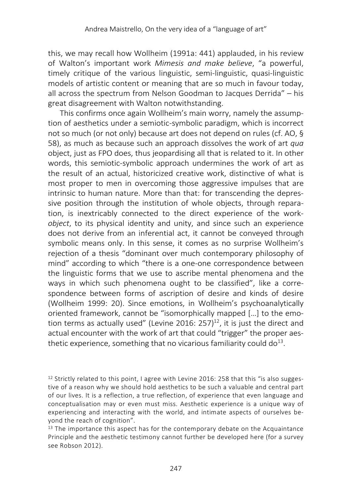this, we may recall how Wollheim (1991a: 441) applauded, in his review of Walton's important work *Mimesis and make believe*, "a powerful, timely critique of the various linguistic, semi-linguistic, quasi-linguistic models of artistic content or meaning that are so much in favour today, all across the spectrum from Nelson Goodman to Jacques Derrida" – his great disagreement with Walton notwithstanding.

This confirms once again Wollheim's main worry, namely the assumption of aesthetics under a semiotic-symbolic paradigm, which is incorrect not so much (or not only) because art does not depend on rules (cf. AO, § 58), as much as because such an approach dissolves the work of art *qua* object, just as FPO does, thus jeopardising all that is related to it. In other words, this semiotic-symbolic approach undermines the work of art as the result of an actual, historicized creative work, distinctive of what is most proper to men in overcoming those aggressive impulses that are intrinsic to human nature. More than that: for transcending the depressive position through the institution of whole objects, through reparation, is inextricably connected to the direct experience of the work*object*, to its physical identity and unity, and since such an experience does not derive from an inferential act, it cannot be conveyed through symbolic means only. In this sense, it comes as no surprise Wollheim's rejection of a thesis "dominant over much contemporary philosophy of mind" according to which "there is a one-one correspondence between the linguistic forms that we use to ascribe mental phenomena and the ways in which such phenomena ought to be classified", like a correspondence between forms of ascription of desire and kinds of desire (Wollheim 1999: 20). Since emotions, in Wollheim's psychoanalytically oriented framework, cannot be "isomorphically mapped […] to the emotion terms as actually used" (Levine 2016: 257)<sup>12</sup>, it is just the direct and actual encounter with the work of art that could "trigger" the proper aesthetic experience, something that no vicarious familiarity could  $d\sigma^{13}$ .

<sup>&</sup>lt;sup>12</sup> Strictly related to this point, I agree with Levine 2016: 258 that this "is also suggestive of a reason why we should hold aesthetics to be such a valuable and central part of our lives. It is a reflection, a true reflection, of experience that even language and conceptualisation may or even must miss. Aesthetic experience is a unique way of experiencing and interacting with the world, and intimate aspects of ourselves beyond the reach of cognition".

 $13$  The importance this aspect has for the contemporary debate on the Acquaintance Principle and the aesthetic testimony cannot further be developed here (for a survey see Robson 2012).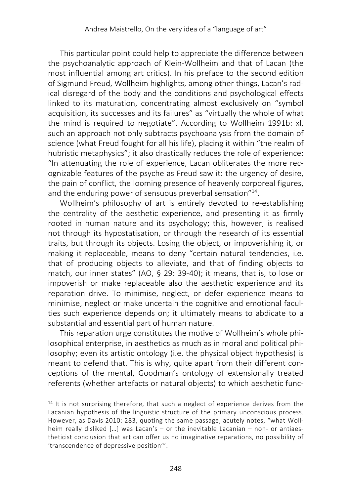This particular point could help to appreciate the difference between the psychoanalytic approach of Klein-Wollheim and that of Lacan (the most influential among art critics). In his preface to the second edition of Sigmund Freud, Wollheim highlights, among other things, Lacan's radical disregard of the body and the conditions and psychological effects linked to its maturation, concentrating almost exclusively on "symbol acquisition, its successes and its failures" as "virtually the whole of what the mind is required to negotiate". According to Wollheim 1991b: xl, such an approach not only subtracts psychoanalysis from the domain of science (what Freud fought for all his life), placing it within "the realm of hubristic metaphysics"; it also drastically reduces the role of experience: "In attenuating the role of experience, Lacan obliterates the more recognizable features of the psyche as Freud saw it: the urgency of desire, the pain of conflict, the looming presence of heavenly corporeal figures, and the enduring power of sensuous preverbal sensation"<sup>14</sup>.

Wollheim's philosophy of art is entirely devoted to re-establishing the centrality of the aesthetic experience, and presenting it as firmly rooted in human nature and its psychology; this, however, is realised not through its hypostatisation, or through the research of its essential traits, but through its objects. Losing the object, or impoverishing it, or making it replaceable, means to deny "certain natural tendencies, i.e. that of producing objects to alleviate, and that of finding objects to match, our inner states" (AO, § 29: 39-40); it means, that is, to lose or impoverish or make replaceable also the aesthetic experience and its reparation drive. To minimise, neglect, or defer experience means to minimise, neglect or make uncertain the cognitive and emotional faculties such experience depends on; it ultimately means to abdicate to a substantial and essential part of human nature.

This reparation urge constitutes the motive of Wollheim's whole philosophical enterprise, in aesthetics as much as in moral and political philosophy; even its artistic ontology (i.e. the physical object hypothesis) is meant to defend that. This is why, quite apart from their different conceptions of the mental, Goodman's ontology of extensionally treated referents (whether artefacts or natural objects) to which aesthetic func-

 $14$  It is not surprising therefore, that such a neglect of experience derives from the Lacanian hypothesis of the linguistic structure of the primary unconscious process. However, as Davis 2010: 283, quoting the same passage, acutely notes, "what Wollheim really disliked […] was Lacan's – or the inevitable Lacanian – non- or antiaestheticist conclusion that art can offer us no imaginative reparations, no possibility of 'transcendence of depressive position'".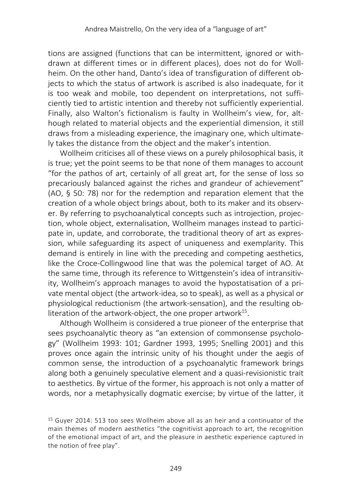tions are assigned (functions that can be intermittent, ignored or withdrawn at different times or in different places), does not do for Wollheim. On the other hand, Danto's idea of transfiguration of different objects to which the status of artwork is ascribed is also inadequate, for it is too weak and mobile, too dependent on interpretations, not sufficiently tied to artistic intention and thereby not sufficiently experiential. Finally, also Walton's fictionalism is faulty in Wollheim's view, for, although related to material objects and the experiential dimension, it still draws from a misleading experience, the imaginary one, which ultimately takes the distance from the object and the maker's intention.

Wollheim criticises all of these views on a purely philosophical basis, it is true; yet the point seems to be that none of them manages to account "for the pathos of art, certainly of all great art, for the sense of loss so precariously balanced against the riches and grandeur of achievement" (AO, § 50: 78) nor for the redemption and reparation element that the creation of a whole object brings about, both to its maker and its observer. By referring to psychoanalytical concepts such as introjection, projection, whole object, externalisation, Wollheim manages instead to participate in, update, and corroborate, the traditional theory of art as expression, while safeguarding its aspect of uniqueness and exemplarity. This demand is entirely in line with the preceding and competing aesthetics, like the Croce-Collingwood line that was the polemical target of AO. At the same time, through its reference to Wittgenstein's idea of intransitivity, Wollheim's approach manages to avoid the hypostatisation of a private mental object (the artwork-idea, so to speak), as well as a physical or physiological reductionism (the artwork-sensation), and the resulting obliteration of the artwork-object, the one proper artwork $15$ .

Although Wollheim is considered a true pioneer of the enterprise that sees psychoanalytic theory as "an extension of commonsense psychology" (Wollheim 1993: 101; Gardner 1993, 1995; Snelling 2001) and this proves once again the intrinsic unity of his thought under the aegis of common sense, the introduction of a psychoanalytic framework brings along both a genuinely speculative element and a quasi-revisionistic trait to aesthetics. By virtue of the former, his approach is not only a matter of words, nor a metaphysically dogmatic exercise; by virtue of the latter, it

<sup>15</sup> Guyer 2014: 513 too sees Wollheim above all as an heir and a continuator of the main themes of modern aesthetics "the cognitivist approach to art, the recognition of the emotional impact of art, and the pleasure in aesthetic experience captured in the notion of free play".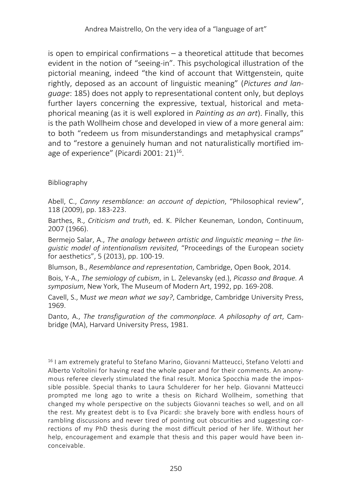is open to empirical confirmations – a theoretical attitude that becomes evident in the notion of "seeing-in". This psychological illustration of the pictorial meaning, indeed "the kind of account that Wittgenstein, quite rightly, deposed as an account of linguistic meaning" (*Pictures and language*: 185) does not apply to representational content only, but deploys further layers concerning the expressive, textual, historical and metaphorical meaning (as it is well explored in *Painting as an art*). Finally, this is the path Wollheim chose and developed in view of a more general aim: to both "redeem us from misunderstandings and metaphysical cramps" and to "restore a genuinely human and not naturalistically mortified image of experience" (Picardi 2001: 21) 16.

### Bibliography

Abell, C., *Canny resemblance: an account of depiction*, "Philosophical review", 118 (2009), pp. 183-223.

Barthes, R., *Criticism and truth*, ed. K. Pilcher Keuneman, London, Continuum, 2007 (1966).

Bermejo Salar, A., *The analogy between artistic and linguistic meaning – the linguistic model of intentionalism revisited*, "Proceedings of the European society for aesthetics", 5 (2013), pp. 100-19.

Blumson, B., *Resemblance and representation*, Cambridge, Open Book, 2014.

Bois, Y-A., *The semiology of cubism*, in L. Zelevansky (ed.), *Picasso and Braque. A symposium*, New York, The Museum of Modern Art, 1992, pp. 169-208.

Cavell, S., M*ust we mean what we say?*, Cambridge, Cambridge University Press, 1969.

Danto, A., *The transfiguration of the commonplace. A philosophy of art*, Cambridge (MA), Harvard University Press, 1981.

<sup>16</sup> I am extremely grateful to Stefano Marino, Giovanni Matteucci, Stefano Velotti and Alberto Voltolini for having read the whole paper and for their comments. An anonymous referee cleverly stimulated the final result. Monica Spocchia made the impossible possible. Special thanks to Laura Schulderer for her help. Giovanni Matteucci prompted me long ago to write a thesis on Richard Wollheim, something that changed my whole perspective on the subjects Giovanni teaches so well, and on all the rest. My greatest debt is to Eva Picardi: she bravely bore with endless hours of rambling discussions and never tired of pointing out obscurities and suggesting corrections of my PhD thesis during the most difficult period of her life. Without her help, encouragement and example that thesis and this paper would have been inconceivable.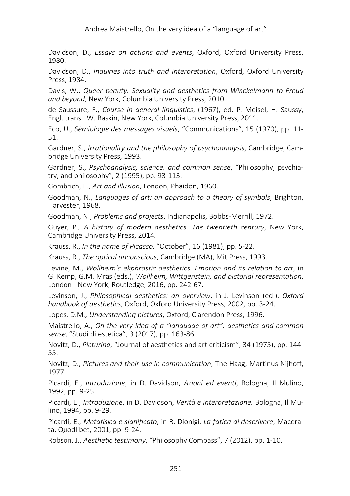Davidson, D., *Essays on actions and events*, Oxford, Oxford University Press, 1980.

Davidson, D., *Inquiries into truth and interpretation*, Oxford, Oxford University Press, 1984.

Davis, W., *Queer beauty. Sexuality and aesthetics from Winckelmann to Freud and beyond*, New York, Columbia University Press, 2010.

de Saussure, F., *Course in general linguistics*, (1967), ed. P. Meisel, H. Saussy, Engl. transl. W. Baskin, New York, Columbia University Press, 2011.

Eco, U., *Sémiologie des messages visuels*, "Communications", 15 (1970), pp. 11- 51.

Gardner, S., *Irrationality and the philosophy of psychoanalysis*, Cambridge, Cambridge University Press, 1993.

Gardner, S., *Psychoanalysis, science, and common sense*, "Philosophy, psychiatry, and philosophy", 2 (1995), pp. 93-113.

Gombrich, E., *Art and illusion*, London, Phaidon, 1960.

Goodman, N., *Languages of art: an approach to a theory of symbols*, Brighton, Harvester, 1968.

Goodman, N., *Problems and projects*, Indianapolis, Bobbs-Merrill, 1972.

Guyer, P*., A history of modern aesthetics. The twentieth century*, New York, Cambridge University Press, 2014.

Krauss, R., *In the name of Picasso*, "October", 16 (1981), pp. 5-22.

Krauss, R., *The optical unconscious*, Cambridge (MA), Mit Press, 1993.

Levine, M., *Wollheim's ekphrastic aesthetics. Emotion and its relation to art*, in G. Kemp, G.M. Mras (eds.), *Wollheim, Wittgenstein, and pictorial representation*, London - New York, Routledge, 2016, pp. 242-67.

Levinson, J., *Philosophical aesthetics: an overview*, in J. Levinson (ed.), *Oxford handbook of aesthetics*, Oxford, Oxford University Press, 2002, pp. 3-24.

Lopes, D.M*., Understanding pictures*, Oxford, Clarendon Press, 1996.

Maistrello, A., *On the very idea of a "language of art": aesthetics and common sense*, "Studi di estetica", 3 (2017), pp. 163-86.

Novitz, D., *Picturing*, "Journal of aesthetics and art criticism", 34 (1975), pp. 144- 55.

Novitz, D., *Pictures and their use in communication*, The Haag, Martinus Nijhoff, 1977.

Picardi, E., *Introduzione*, in D. Davidson, *Azioni ed eventi*, Bologna, Il Mulino, 1992, pp. 9-25.

Picardi, E., *Introduzione*, in D. Davidson, *Verità e interpretazione,* Bologna, Il Mulino, 1994, pp. 9-29.

Picardi, E., *Metafisica e significato*, in R. Dionigi, *La fatica di descrivere*, Macerata, Quodlibet, 2001, pp. 9-24.

Robson, J., *Aesthetic testimony*, "Philosophy Compass", 7 (2012), pp. 1-10.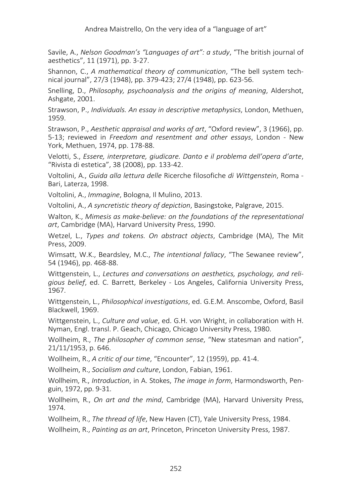Savile, A., *Nelson Goodman's "Languages of art": a study*, "The british journal of aesthetics", 11 (1971), pp. 3-27.

Shannon, C., *A mathematical theory of communication*, "The bell system technical journal", 27/3 (1948), pp. 379-423; 27/4 (1948), pp. 623-56.

Snelling, D., *Philosophy, psychoanalysis and the origins of meaning*, Aldershot, Ashgate, 2001.

Strawson, P., *Individuals. An essay in descriptive metaphysics*, London, Methuen, 1959.

Strawson, P., *Aesthetic appraisal and works of art*, "Oxford review", 3 (1966), pp. 5-13; reviewed in *Freedom and resentment and other essays*, London - New York, Methuen, 1974, pp. 178-88.

Velotti, S., *Essere, interpretare, giudicare. Danto e il problema dell'opera d'arte*, "Rivista di estetica", 38 (2008), pp. 133-42.

Voltolini, A., *Guida alla lettura delle* Ricerche filosofiche *di Wittgenstein*, Roma - Bari, Laterza, 1998.

Voltolini, A., *Immagine*, Bologna, Il Mulino, 2013.

Voltolini, A., *A syncretistic theory of depiction*, Basingstoke, Palgrave, 2015.

Walton, K., *Mimesis as make-believe: on the foundations of the representational art*, Cambridge (MA), Harvard University Press, 1990.

Wetzel, L., *Types and tokens. On abstract objects*, Cambridge (MA), The Mit Press, 2009.

Wimsatt, W.K., Beardsley, M.C., *The intentional fallacy*, "The Sewanee review", 54 (1946), pp. 468-88.

Wittgenstein, L., *Lectures and conversations on aesthetics, psychology, and religious belief*, ed. C. Barrett, Berkeley - Los Angeles, California University Press, 1967.

Wittgenstein, L., *Philosophical investigations*, ed. G.E.M. Anscombe, Oxford, Basil Blackwell, 1969.

Wittgenstein, L., *Culture and value*, ed. G.H. von Wright, in collaboration with H. Nyman, Engl. transl. P. Geach, Chicago, Chicago University Press, 1980.

Wollheim, R., *The philosopher of common sense*, "New statesman and nation", 21/11/1953, p. 646.

Wollheim, R., *A critic of our time*, "Encounter", 12 (1959), pp. 41-4.

Wollheim, R., *Socialism and culture*, London, Fabian, 1961.

Wollheim, R., *Introduction*, in A. Stokes, *The image in form*, Harmondsworth, Penguin, 1972, pp. 9-31.

Wollheim, R., *On art and the mind*, Cambridge (MA), Harvard University Press, 1974.

Wollheim, R., *The thread of life*, New Haven (CT), Yale University Press, 1984.

Wollheim, R., *Painting as an art*, Princeton, Princeton University Press, 1987.